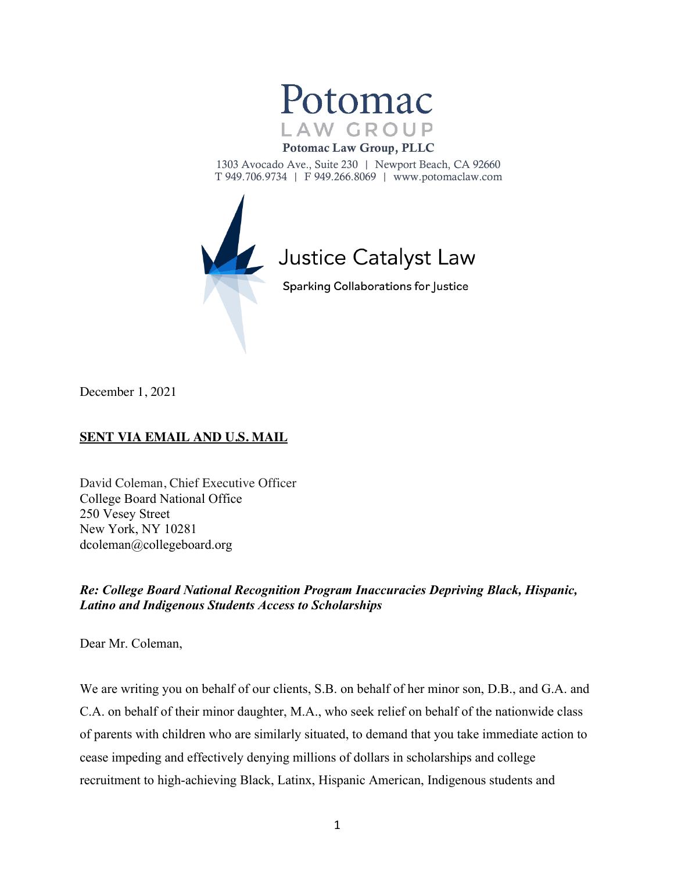

#### Potomac Law Group, PLLC

1303 Avocado Ave., Suite 230 | Newport Beach, CA 92660 T 949.706.9734 | F 949.266.8069 | www.potomaclaw.com



December 1, 2021

# **SENT VIA EMAIL AND U.S. MAIL**

David Coleman, Chief Executive Officer College Board National Office 250 Vesey Street New York, NY 10281 dcoleman@collegeboard.org

# *Re: College Board National Recognition Program Inaccuracies Depriving Black, Hispanic, Latino and Indigenous Students Access to Scholarships*

Dear Mr. Coleman,

We are writing you on behalf of our clients, S.B. on behalf of her minor son, D.B., and G.A. and C.A. on behalf of their minor daughter, M.A., who seek relief on behalf of the nationwide class of parents with children who are similarly situated, to demand that you take immediate action to cease impeding and effectively denying millions of dollars in scholarships and college recruitment to high-achieving Black, Latinx, Hispanic American, Indigenous students and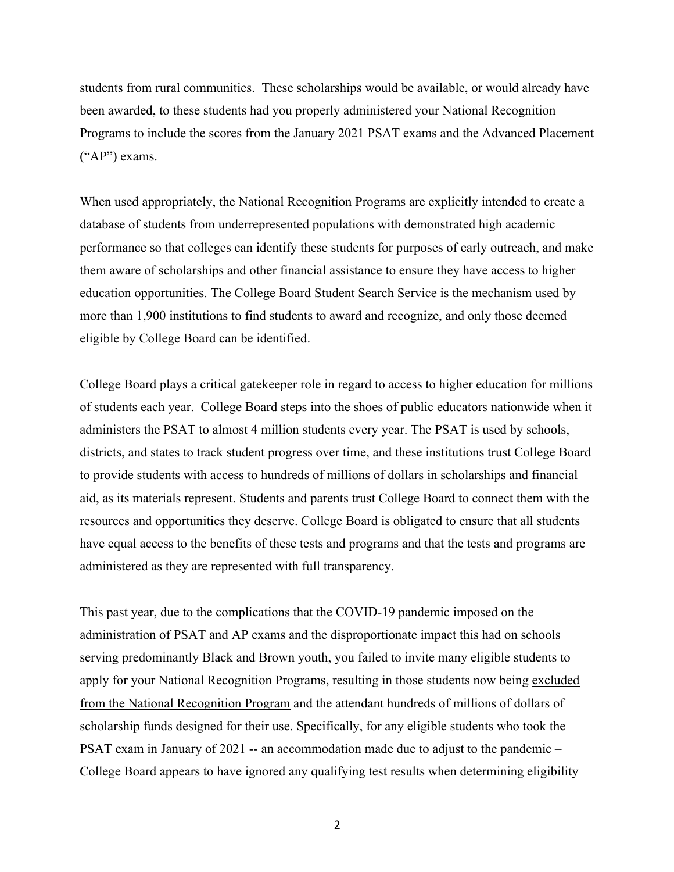students from rural communities. These scholarships would be available, or would already have been awarded, to these students had you properly administered your National Recognition Programs to include the scores from the January 2021 PSAT exams and the Advanced Placement ("AP") exams.

When used appropriately, the National Recognition Programs are explicitly intended to create a database of students from underrepresented populations with demonstrated high academic performance so that colleges can identify these students for purposes of early outreach, and make them aware of scholarships and other financial assistance to ensure they have access to higher education opportunities. The College Board Student Search Service is the mechanism used by more than 1,900 institutions to find students to award and recognize, and only those deemed eligible by College Board can be identified.

College Board plays a critical gatekeeper role in regard to access to higher education for millions of students each year. College Board steps into the shoes of public educators nationwide when it administers the PSAT to almost 4 million students every year. The PSAT is used by schools, districts, and states to track student progress over time, and these institutions trust College Board to provide students with access to hundreds of millions of dollars in scholarships and financial aid, as its materials represent. Students and parents trust College Board to connect them with the resources and opportunities they deserve. College Board is obligated to ensure that all students have equal access to the benefits of these tests and programs and that the tests and programs are administered as they are represented with full transparency.

This past year, due to the complications that the COVID-19 pandemic imposed on the administration of PSAT and AP exams and the disproportionate impact this had on schools serving predominantly Black and Brown youth, you failed to invite many eligible students to apply for your National Recognition Programs, resulting in those students now being excluded from the National Recognition Program and the attendant hundreds of millions of dollars of scholarship funds designed for their use. Specifically, for any eligible students who took the PSAT exam in January of 2021 -- an accommodation made due to adjust to the pandemic – College Board appears to have ignored any qualifying test results when determining eligibility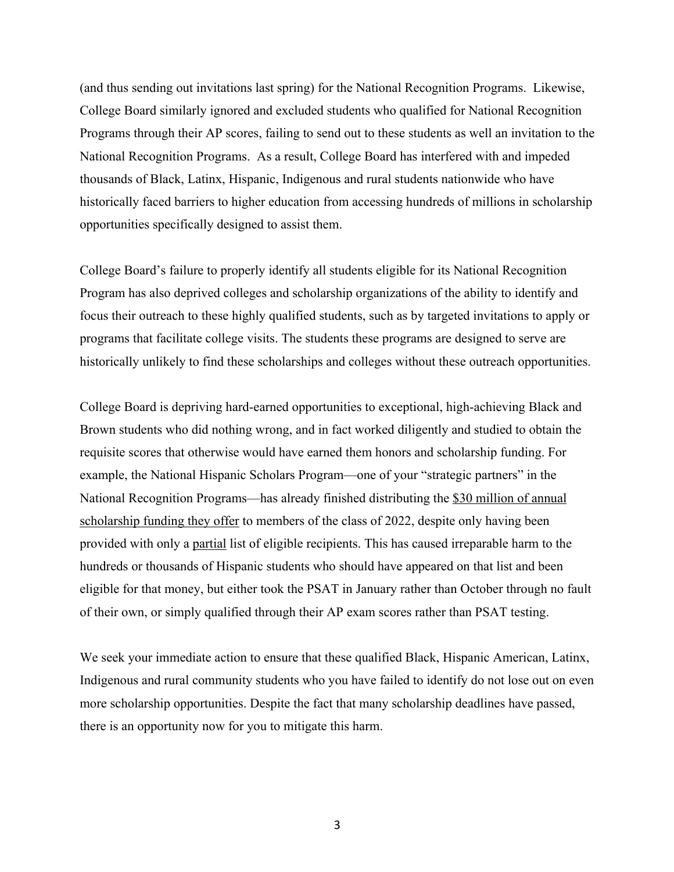(and thus sending out invitations last spring) for the National Recognition Programs. Likewise, College Board similarly ignored and excluded students who qualified for National Recognition Programs through their AP scores, failing to send out to these students as well an invitation to the National Recognition Programs. As a result, College Board has interfered with and impeded thousands of Black, Latinx, Hispanic, Indigenous and rural students nationwide who have historically faced barriers to higher education from accessing hundreds of millions in scholarship opportunities specifically designed to assist them.

College Board's failure to properly identify all students eligible for its National Recognition Program has also deprived colleges and scholarship organizations of the ability to identify and focus their outreach to these highly qualified students, such as by targeted invitations to apply or programs that facilitate college visits. The students these programs are designed to serve are historically unlikely to find these scholarships and colleges without these outreach opportunities.

College Board is depriving hard-earned opportunities to exceptional, high-achieving Black and Brown students who did nothing wrong, and in fact worked diligently and studied to obtain the requisite scores that otherwise would have earned them honors and scholarship funding. For example, the National Hispanic Scholars Program—one of your "strategic partners" in the National Recognition Programs—has already finished distributing the \$30 million of annual scholarship funding they offer to members of the class of 2022, despite only having been provided with only a partial list of eligible recipients. This has caused irreparable harm to the hundreds or thousands of Hispanic students who should have appeared on that list and been eligible for that money, but either took the PSAT in January rather than October through no fault of their own, or simply qualified through their AP exam scores rather than PSAT testing.

We seek your immediate action to ensure that these qualified Black, Hispanic American, Latinx, Indigenous and rural community students who you have failed to identify do not lose out on even more scholarship opportunities. Despite the fact that many scholarship deadlines have passed, there is an opportunity now for you to mitigate this harm.

3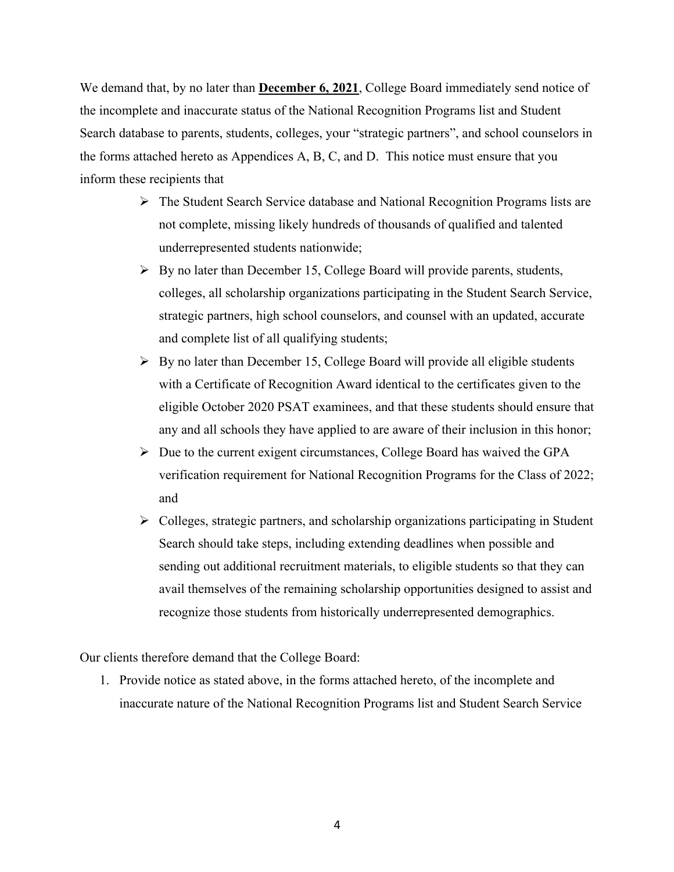We demand that, by no later than **December 6, 2021**, College Board immediately send notice of the incomplete and inaccurate status of the National Recognition Programs list and Student Search database to parents, students, colleges, your "strategic partners", and school counselors in the forms attached hereto as Appendices A, B, C, and D. This notice must ensure that you inform these recipients that

- $\triangleright$  The Student Search Service database and National Recognition Programs lists are not complete, missing likely hundreds of thousands of qualified and talented underrepresented students nationwide;
- $\triangleright$  By no later than December 15, College Board will provide parents, students, colleges, all scholarship organizations participating in the Student Search Service, strategic partners, high school counselors, and counsel with an updated, accurate and complete list of all qualifying students;
- $\triangleright$  By no later than December 15, College Board will provide all eligible students with a Certificate of Recognition Award identical to the certificates given to the eligible October 2020 PSAT examinees, and that these students should ensure that any and all schools they have applied to are aware of their inclusion in this honor;
- $\triangleright$  Due to the current exigent circumstances, College Board has waived the GPA verification requirement for National Recognition Programs for the Class of 2022; and
- $\triangleright$  Colleges, strategic partners, and scholarship organizations participating in Student Search should take steps, including extending deadlines when possible and sending out additional recruitment materials, to eligible students so that they can avail themselves of the remaining scholarship opportunities designed to assist and recognize those students from historically underrepresented demographics.

Our clients therefore demand that the College Board:

1. Provide notice as stated above, in the forms attached hereto, of the incomplete and inaccurate nature of the National Recognition Programs list and Student Search Service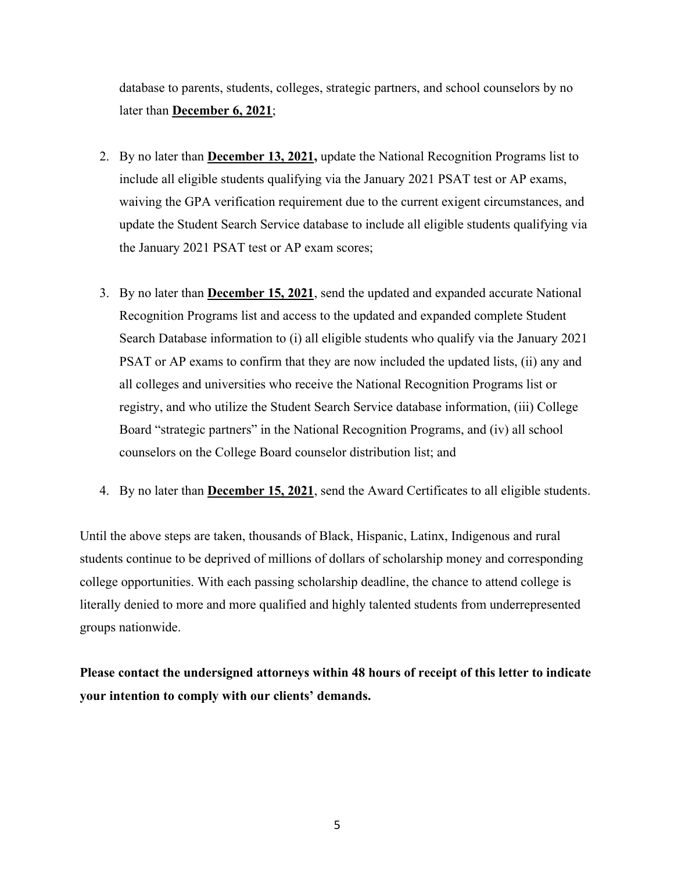database to parents, students, colleges, strategic partners, and school counselors by no later than **December 6, 2021**;

- 2. By no later than **December 13, 2021,** update the National Recognition Programs list to include all eligible students qualifying via the January 2021 PSAT test or AP exams, waiving the GPA verification requirement due to the current exigent circumstances, and update the Student Search Service database to include all eligible students qualifying via the January 2021 PSAT test or AP exam scores;
- 3. By no later than **December 15, 2021**, send the updated and expanded accurate National Recognition Programs list and access to the updated and expanded complete Student Search Database information to (i) all eligible students who qualify via the January 2021 PSAT or AP exams to confirm that they are now included the updated lists, (ii) any and all colleges and universities who receive the National Recognition Programs list or registry, and who utilize the Student Search Service database information, (iii) College Board "strategic partners" in the National Recognition Programs, and (iv) all school counselors on the College Board counselor distribution list; and
- 4. By no later than **December 15, 2021**, send the Award Certificates to all eligible students.

Until the above steps are taken, thousands of Black, Hispanic, Latinx, Indigenous and rural students continue to be deprived of millions of dollars of scholarship money and corresponding college opportunities. With each passing scholarship deadline, the chance to attend college is literally denied to more and more qualified and highly talented students from underrepresented groups nationwide.

**Please contact the undersigned attorneys within 48 hours of receipt of this letter to indicate your intention to comply with our clients' demands.**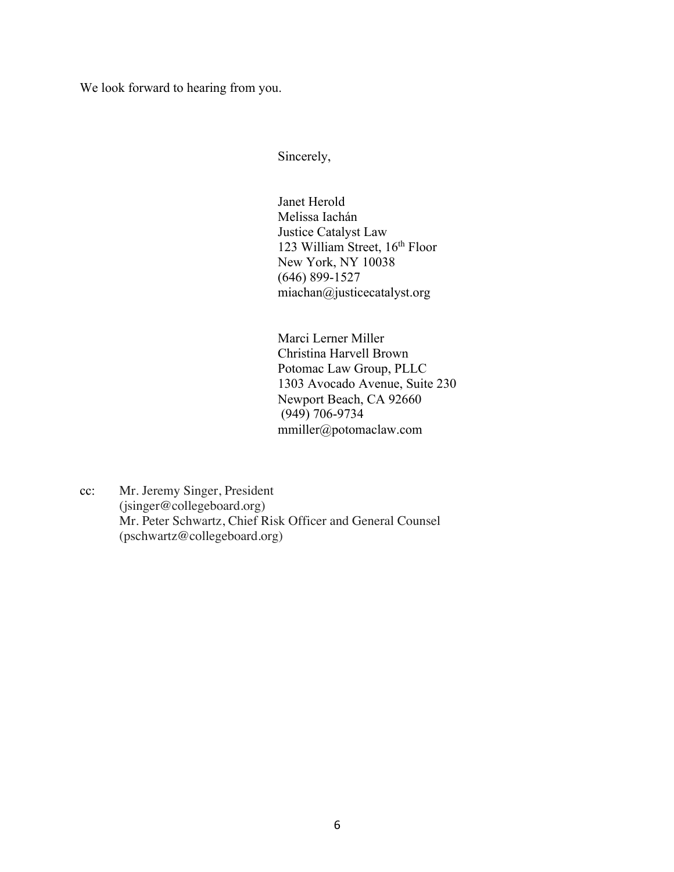We look forward to hearing from you.

Sincerely,

Janet Herold Melissa Iachán Justice Catalyst Law 123 William Street, 16<sup>th</sup> Floor New York, NY 10038 (646) 899-1527 miachan@justicecatalyst.org

Marci Lerner Miller Christina Harvell Brown Potomac Law Group, PLLC 1303 Avocado Avenue, Suite 230 Newport Beach, CA 92660 (949) 706-9734 mmiller@potomaclaw.com

cc: Mr. Jeremy Singer, President (jsinger@collegeboard.org) Mr. Peter Schwartz, Chief Risk Officer and General Counsel (pschwartz@collegeboard.org)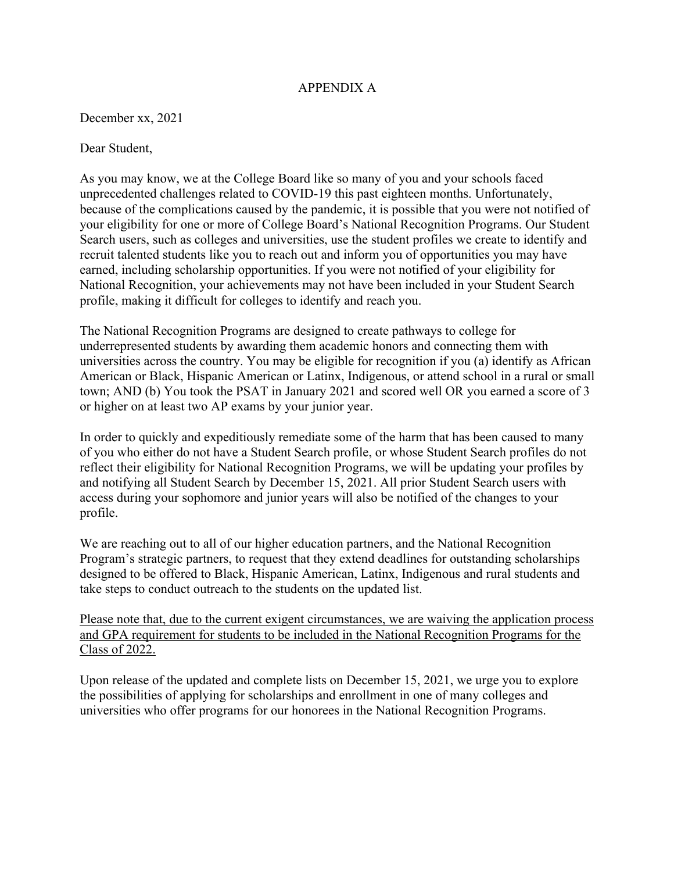### APPENDIX A

December xx, 2021

Dear Student,

As you may know, we at the College Board like so many of you and your schools faced unprecedented challenges related to COVID-19 this past eighteen months. Unfortunately, because of the complications caused by the pandemic, it is possible that you were not notified of your eligibility for one or more of College Board's National Recognition Programs. Our Student Search users, such as colleges and universities, use the student profiles we create to identify and recruit talented students like you to reach out and inform you of opportunities you may have earned, including scholarship opportunities. If you were not notified of your eligibility for National Recognition, your achievements may not have been included in your Student Search profile, making it difficult for colleges to identify and reach you.

The National Recognition Programs are designed to create pathways to college for underrepresented students by awarding them academic honors and connecting them with universities across the country. You may be eligible for recognition if you (a) identify as African American or Black, Hispanic American or Latinx, Indigenous, or attend school in a rural or small town; AND (b) You took the PSAT in January 2021 and scored well OR you earned a score of 3 or higher on at least two AP exams by your junior year.

In order to quickly and expeditiously remediate some of the harm that has been caused to many of you who either do not have a Student Search profile, or whose Student Search profiles do not reflect their eligibility for National Recognition Programs, we will be updating your profiles by and notifying all Student Search by December 15, 2021. All prior Student Search users with access during your sophomore and junior years will also be notified of the changes to your profile.

We are reaching out to all of our higher education partners, and the National Recognition Program's strategic partners, to request that they extend deadlines for outstanding scholarships designed to be offered to Black, Hispanic American, Latinx, Indigenous and rural students and take steps to conduct outreach to the students on the updated list.

Please note that, due to the current exigent circumstances, we are waiving the application process and GPA requirement for students to be included in the National Recognition Programs for the Class of 2022.

Upon release of the updated and complete lists on December 15, 2021, we urge you to explore the possibilities of applying for scholarships and enrollment in one of many colleges and universities who offer programs for our honorees in the National Recognition Programs.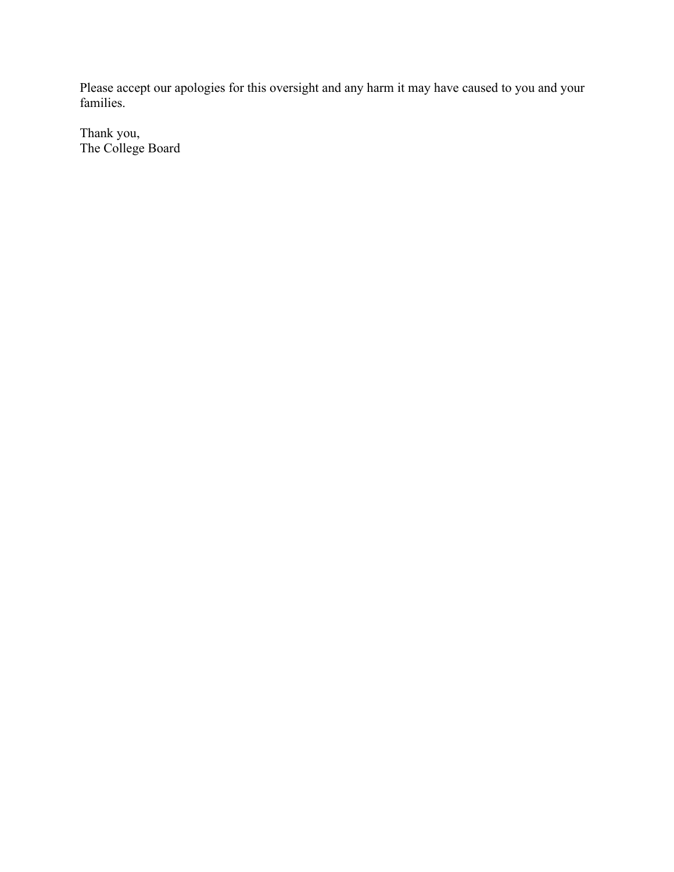Please accept our apologies for this oversight and any harm it may have caused to you and your families.

Thank you, The College Board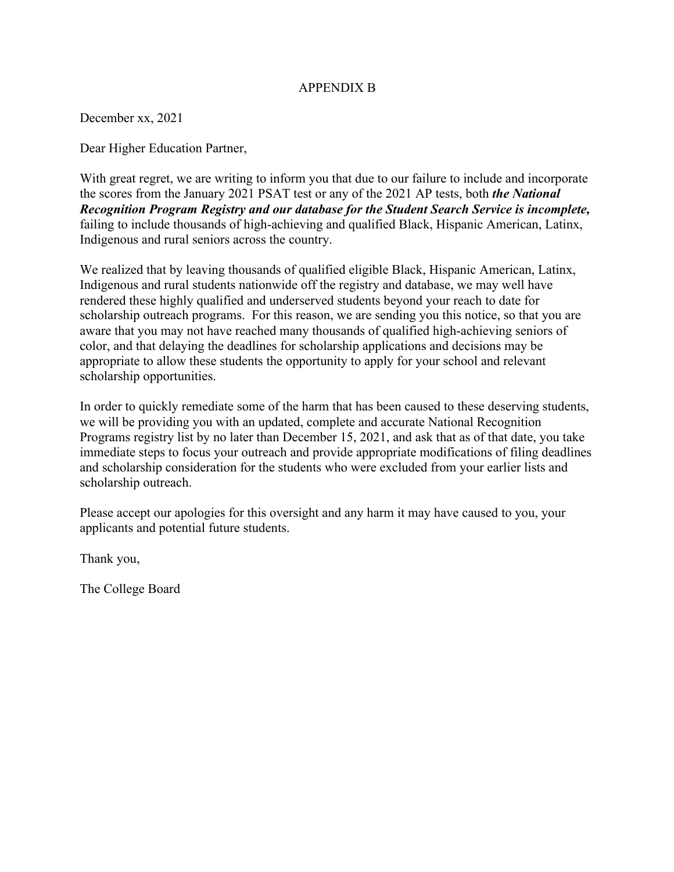## APPENDIX B

December xx, 2021

Dear Higher Education Partner,

With great regret, we are writing to inform you that due to our failure to include and incorporate the scores from the January 2021 PSAT test or any of the 2021 AP tests, both *the National Recognition Program Registry and our database for the Student Search Service is incomplete,* failing to include thousands of high-achieving and qualified Black, Hispanic American, Latinx, Indigenous and rural seniors across the country.

We realized that by leaving thousands of qualified eligible Black, Hispanic American, Latinx, Indigenous and rural students nationwide off the registry and database, we may well have rendered these highly qualified and underserved students beyond your reach to date for scholarship outreach programs. For this reason, we are sending you this notice, so that you are aware that you may not have reached many thousands of qualified high-achieving seniors of color, and that delaying the deadlines for scholarship applications and decisions may be appropriate to allow these students the opportunity to apply for your school and relevant scholarship opportunities.

In order to quickly remediate some of the harm that has been caused to these deserving students, we will be providing you with an updated, complete and accurate National Recognition Programs registry list by no later than December 15, 2021, and ask that as of that date, you take immediate steps to focus your outreach and provide appropriate modifications of filing deadlines and scholarship consideration for the students who were excluded from your earlier lists and scholarship outreach.

Please accept our apologies for this oversight and any harm it may have caused to you, your applicants and potential future students.

Thank you,

The College Board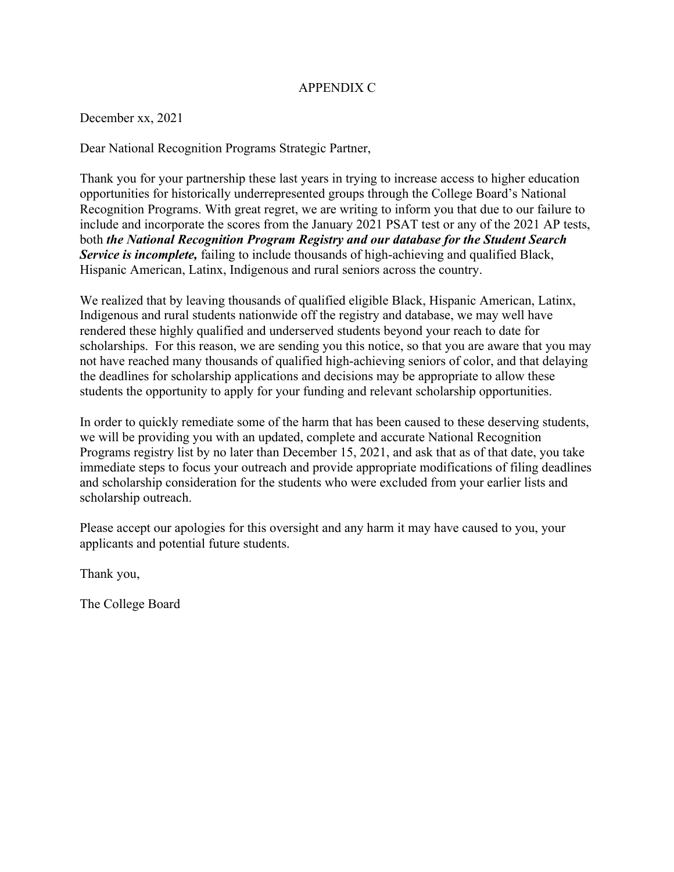## APPENDIX C

December xx, 2021

Dear National Recognition Programs Strategic Partner,

Thank you for your partnership these last years in trying to increase access to higher education opportunities for historically underrepresented groups through the College Board's National Recognition Programs. With great regret, we are writing to inform you that due to our failure to include and incorporate the scores from the January 2021 PSAT test or any of the 2021 AP tests, both *the National Recognition Program Registry and our database for the Student Search Service is incomplete,* failing to include thousands of high-achieving and qualified Black, Hispanic American, Latinx, Indigenous and rural seniors across the country.

We realized that by leaving thousands of qualified eligible Black, Hispanic American, Latinx, Indigenous and rural students nationwide off the registry and database, we may well have rendered these highly qualified and underserved students beyond your reach to date for scholarships. For this reason, we are sending you this notice, so that you are aware that you may not have reached many thousands of qualified high-achieving seniors of color, and that delaying the deadlines for scholarship applications and decisions may be appropriate to allow these students the opportunity to apply for your funding and relevant scholarship opportunities.

In order to quickly remediate some of the harm that has been caused to these deserving students, we will be providing you with an updated, complete and accurate National Recognition Programs registry list by no later than December 15, 2021, and ask that as of that date, you take immediate steps to focus your outreach and provide appropriate modifications of filing deadlines and scholarship consideration for the students who were excluded from your earlier lists and scholarship outreach.

Please accept our apologies for this oversight and any harm it may have caused to you, your applicants and potential future students.

Thank you,

The College Board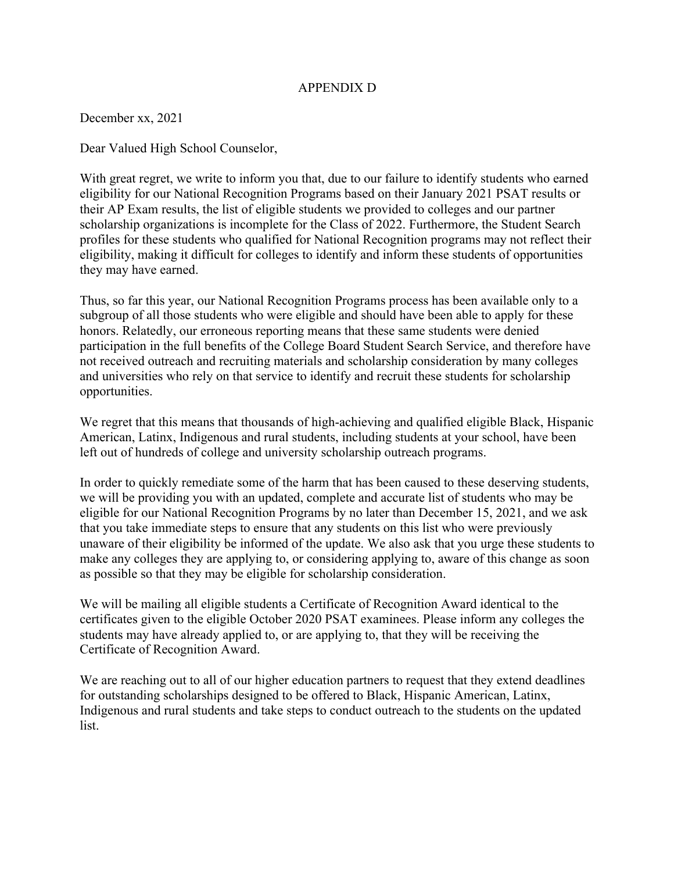## APPENDIX D

December xx, 2021

Dear Valued High School Counselor,

With great regret, we write to inform you that, due to our failure to identify students who earned eligibility for our National Recognition Programs based on their January 2021 PSAT results or their AP Exam results, the list of eligible students we provided to colleges and our partner scholarship organizations is incomplete for the Class of 2022. Furthermore, the Student Search profiles for these students who qualified for National Recognition programs may not reflect their eligibility, making it difficult for colleges to identify and inform these students of opportunities they may have earned.

Thus, so far this year, our National Recognition Programs process has been available only to a subgroup of all those students who were eligible and should have been able to apply for these honors. Relatedly, our erroneous reporting means that these same students were denied participation in the full benefits of the College Board Student Search Service, and therefore have not received outreach and recruiting materials and scholarship consideration by many colleges and universities who rely on that service to identify and recruit these students for scholarship opportunities.

We regret that this means that thousands of high-achieving and qualified eligible Black, Hispanic American, Latinx, Indigenous and rural students, including students at your school, have been left out of hundreds of college and university scholarship outreach programs.

In order to quickly remediate some of the harm that has been caused to these deserving students, we will be providing you with an updated, complete and accurate list of students who may be eligible for our National Recognition Programs by no later than December 15, 2021, and we ask that you take immediate steps to ensure that any students on this list who were previously unaware of their eligibility be informed of the update. We also ask that you urge these students to make any colleges they are applying to, or considering applying to, aware of this change as soon as possible so that they may be eligible for scholarship consideration.

We will be mailing all eligible students a Certificate of Recognition Award identical to the certificates given to the eligible October 2020 PSAT examinees. Please inform any colleges the students may have already applied to, or are applying to, that they will be receiving the Certificate of Recognition Award.

We are reaching out to all of our higher education partners to request that they extend deadlines for outstanding scholarships designed to be offered to Black, Hispanic American, Latinx, Indigenous and rural students and take steps to conduct outreach to the students on the updated list.